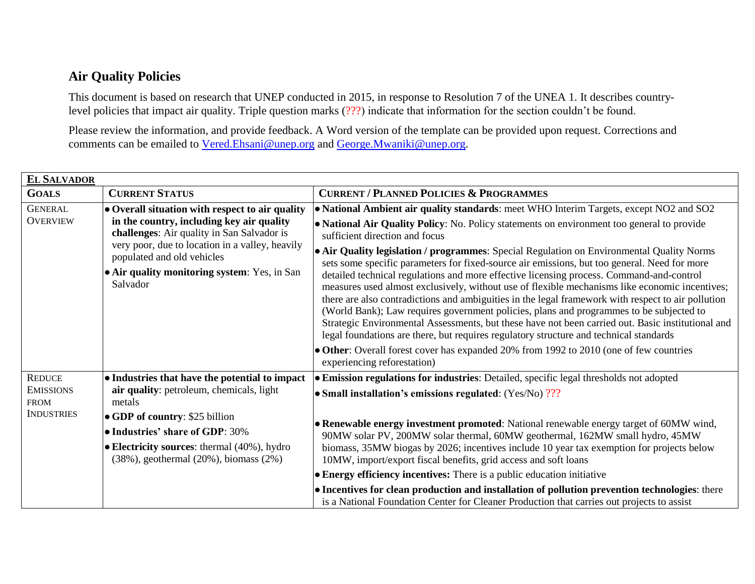## **Air Quality Policies**

This document is based on research that UNEP conducted in 2015, in response to Resolution 7 of the UNEA 1. It describes countrylevel policies that impact air quality. Triple question marks (???) indicate that information for the section couldn't be found.

Please review the information, and provide feedback. A Word version of the template can be provided upon request. Corrections and comments can be emailed to [Vered.Ehsani@unep.org](mailto:Vered.Ehsani@unep.org) and [George.Mwaniki@unep.org.](mailto:George.Mwaniki@unep.org)

| <b>EL SALVADOR</b>                                   |                                                                                                                                                                                                                                      |                                                                                                                                                                                                                                                                                                                                                                                                                                                                                                                                                                                                                                                                                                                                                                                                                                                                                                                  |  |
|------------------------------------------------------|--------------------------------------------------------------------------------------------------------------------------------------------------------------------------------------------------------------------------------------|------------------------------------------------------------------------------------------------------------------------------------------------------------------------------------------------------------------------------------------------------------------------------------------------------------------------------------------------------------------------------------------------------------------------------------------------------------------------------------------------------------------------------------------------------------------------------------------------------------------------------------------------------------------------------------------------------------------------------------------------------------------------------------------------------------------------------------------------------------------------------------------------------------------|--|
| <b>GOALS</b>                                         | <b>CURRENT STATUS</b>                                                                                                                                                                                                                | <b>CURRENT / PLANNED POLICIES &amp; PROGRAMMES</b>                                                                                                                                                                                                                                                                                                                                                                                                                                                                                                                                                                                                                                                                                                                                                                                                                                                               |  |
| <b>GENERAL</b>                                       | $\bullet$ Overall situation with respect to air quality                                                                                                                                                                              | • National Ambient air quality standards: meet WHO Interim Targets, except NO2 and SO2                                                                                                                                                                                                                                                                                                                                                                                                                                                                                                                                                                                                                                                                                                                                                                                                                           |  |
| <b>OVERVIEW</b>                                      | in the country, including key air quality<br>challenges: Air quality in San Salvador is<br>very poor, due to location in a valley, heavily<br>populated and old vehicles<br>• Air quality monitoring system: Yes, in San<br>Salvador | • National Air Quality Policy: No. Policy statements on environment too general to provide<br>sufficient direction and focus                                                                                                                                                                                                                                                                                                                                                                                                                                                                                                                                                                                                                                                                                                                                                                                     |  |
|                                                      |                                                                                                                                                                                                                                      | • Air Quality legislation / programmes: Special Regulation on Environmental Quality Norms<br>sets some specific parameters for fixed-source air emissions, but too general. Need for more<br>detailed technical regulations and more effective licensing process. Command-and-control<br>measures used almost exclusively, without use of flexible mechanisms like economic incentives;<br>there are also contradictions and ambiguities in the legal framework with respect to air pollution<br>(World Bank); Law requires government policies, plans and programmes to be subjected to<br>Strategic Environmental Assessments, but these have not been carried out. Basic institutional and<br>legal foundations are there, but requires regulatory structure and technical standards<br>• Other: Overall forest cover has expanded 20% from 1992 to 2010 (one of few countries<br>experiencing reforestation) |  |
| <b>REDUCE</b>                                        | $\bullet$ Industries that have the potential to impact                                                                                                                                                                               | • Emission regulations for industries: Detailed, specific legal thresholds not adopted                                                                                                                                                                                                                                                                                                                                                                                                                                                                                                                                                                                                                                                                                                                                                                                                                           |  |
| <b>EMISSIONS</b><br><b>FROM</b><br><b>INDUSTRIES</b> | air quality: petroleum, chemicals, light<br>metals                                                                                                                                                                                   | • Small installation's emissions regulated: $(Yes/No)$ ???                                                                                                                                                                                                                                                                                                                                                                                                                                                                                                                                                                                                                                                                                                                                                                                                                                                       |  |
|                                                      | $\bullet$ GDP of country: \$25 billion<br>$\bullet$ Industries' share of GDP: 30%<br>$\bullet$ Electricity sources: thermal (40%), hydro<br>$(38\%)$ , geothermal $(20\%)$ , biomass $(2\%)$                                         | • Renewable energy investment promoted: National renewable energy target of 60MW wind,<br>90MW solar PV, 200MW solar thermal, 60MW geothermal, 162MW small hydro, 45MW<br>biomass, 35MW biogas by 2026; incentives include 10 year tax exemption for projects below<br>10MW, import/export fiscal benefits, grid access and soft loans                                                                                                                                                                                                                                                                                                                                                                                                                                                                                                                                                                           |  |
|                                                      |                                                                                                                                                                                                                                      | $\bullet$ Energy efficiency incentives: There is a public education initiative                                                                                                                                                                                                                                                                                                                                                                                                                                                                                                                                                                                                                                                                                                                                                                                                                                   |  |
|                                                      |                                                                                                                                                                                                                                      | • Incentives for clean production and installation of pollution prevention technologies: there<br>is a National Foundation Center for Cleaner Production that carries out projects to assist                                                                                                                                                                                                                                                                                                                                                                                                                                                                                                                                                                                                                                                                                                                     |  |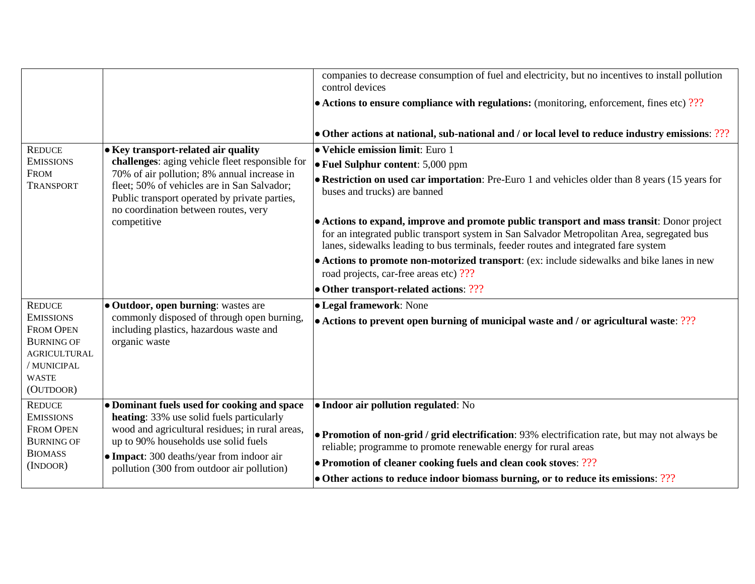|                                       |                                                                                                                                                                                                    | companies to decrease consumption of fuel and electricity, but no incentives to install pollution<br>control devices<br>$\bullet$ Actions to ensure compliance with regulations: (monitoring, enforcement, fines etc) ???                                                       |
|---------------------------------------|----------------------------------------------------------------------------------------------------------------------------------------------------------------------------------------------------|---------------------------------------------------------------------------------------------------------------------------------------------------------------------------------------------------------------------------------------------------------------------------------|
|                                       |                                                                                                                                                                                                    | $\bullet$ Other actions at national, sub-national and / or local level to reduce industry emissions: ???                                                                                                                                                                        |
| <b>REDUCE</b>                         | • Key transport-related air quality                                                                                                                                                                | • Vehicle emission limit: Euro 1                                                                                                                                                                                                                                                |
| <b>EMISSIONS</b>                      | challenges: aging vehicle fleet responsible for                                                                                                                                                    | • Fuel Sulphur content: 5,000 ppm                                                                                                                                                                                                                                               |
| <b>FROM</b><br><b>TRANSPORT</b>       | 70% of air pollution; 8% annual increase in<br>fleet; 50% of vehicles are in San Salvador;<br>Public transport operated by private parties,<br>no coordination between routes, very<br>competitive | • Restriction on used car importation: Pre-Euro 1 and vehicles older than 8 years (15 years for<br>buses and trucks) are banned                                                                                                                                                 |
|                                       |                                                                                                                                                                                                    | • Actions to expand, improve and promote public transport and mass transit: Donor project<br>for an integrated public transport system in San Salvador Metropolitan Area, segregated bus<br>lanes, sidewalks leading to bus terminals, feeder routes and integrated fare system |
|                                       |                                                                                                                                                                                                    | • Actions to promote non-motorized transport: (ex: include sidewalks and bike lanes in new<br>road projects, car-free areas etc) ???                                                                                                                                            |
|                                       |                                                                                                                                                                                                    | • Other transport-related actions: ???                                                                                                                                                                                                                                          |
| <b>REDUCE</b>                         | • Outdoor, open burning: wastes are                                                                                                                                                                | • Legal framework: None                                                                                                                                                                                                                                                         |
| <b>EMISSIONS</b><br><b>FROM OPEN</b>  | commonly disposed of through open burning,<br>including plastics, hazardous waste and                                                                                                              | • Actions to prevent open burning of municipal waste and / or agricultural waste: ???                                                                                                                                                                                           |
| <b>BURNING OF</b>                     | organic waste                                                                                                                                                                                      |                                                                                                                                                                                                                                                                                 |
| AGRICULTURAL                          |                                                                                                                                                                                                    |                                                                                                                                                                                                                                                                                 |
| / MUNICIPAL                           |                                                                                                                                                                                                    |                                                                                                                                                                                                                                                                                 |
| <b>WASTE</b><br>(OUTDOOR)             |                                                                                                                                                                                                    |                                                                                                                                                                                                                                                                                 |
| <b>REDUCE</b>                         | • Dominant fuels used for cooking and space                                                                                                                                                        | • Indoor air pollution regulated: No                                                                                                                                                                                                                                            |
| <b>EMISSIONS</b>                      | heating: 33% use solid fuels particularly                                                                                                                                                          |                                                                                                                                                                                                                                                                                 |
| <b>FROM OPEN</b><br><b>BURNING OF</b> | wood and agricultural residues; in rural areas,<br>up to 90% households use solid fuels                                                                                                            | • Promotion of non-grid / grid electrification: 93% electrification rate, but may not always be<br>reliable; programme to promote renewable energy for rural areas                                                                                                              |
| <b>BIOMASS</b>                        | • Impact: 300 deaths/year from indoor air                                                                                                                                                          | • Promotion of cleaner cooking fuels and clean cook stoves: ???                                                                                                                                                                                                                 |
| (INDOOR)                              | pollution (300 from outdoor air pollution)                                                                                                                                                         | $\bullet$ Other actions to reduce indoor biomass burning, or to reduce its emissions: ???                                                                                                                                                                                       |
|                                       |                                                                                                                                                                                                    |                                                                                                                                                                                                                                                                                 |